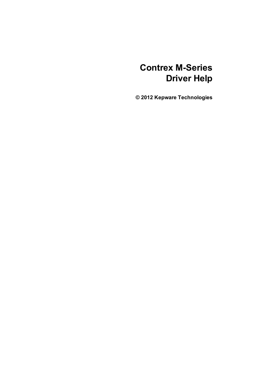# **Contrex M-Series Driver Help**

**© 2012 Kepware Technologies**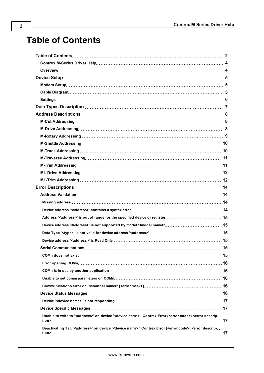# <span id="page-1-0"></span>**Table of Contents**

| Error Descriptions……………………………………………………………………………………… 14                                                                                                              |  |
|---------------------------------------------------------------------------------------------------------------------------------------------------------------------|--|
|                                                                                                                                                                     |  |
|                                                                                                                                                                     |  |
|                                                                                                                                                                     |  |
| Address ' <address>' is out of range for the specified device or register 15</address>                                                                              |  |
|                                                                                                                                                                     |  |
|                                                                                                                                                                     |  |
|                                                                                                                                                                     |  |
|                                                                                                                                                                     |  |
|                                                                                                                                                                     |  |
|                                                                                                                                                                     |  |
|                                                                                                                                                                     |  |
|                                                                                                                                                                     |  |
|                                                                                                                                                                     |  |
|                                                                                                                                                                     |  |
|                                                                                                                                                                     |  |
|                                                                                                                                                                     |  |
| Unable to write to ' <address>' on device '<device name="">.' Contrex Error (<error code="">) <error descrip<="" td=""><td></td></error></error></device></address> |  |
|                                                                                                                                                                     |  |
| Deactivating Tag ' <address>' on device '<device name="">.' Contrex Error (<error code="">) <error descrip-<="" td=""><td></td></error></error></device></address>  |  |
|                                                                                                                                                                     |  |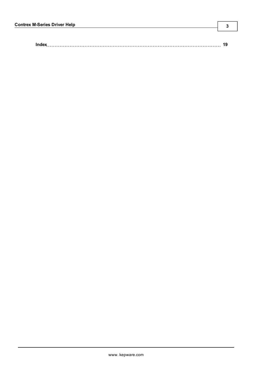|--|--|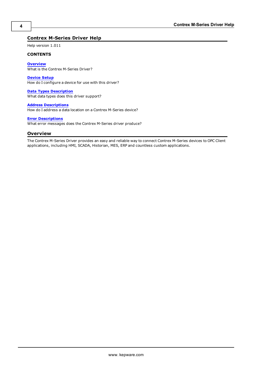# <span id="page-3-0"></span>**Contrex M-Series Driver Help**

Help version 1.011

#### **CONTENTS**

**[Overview](#page-3-1)** What is the Contrex M-Series Driver?

**[Device](#page-4-0) [Setup](#page-4-0)** How do I configure a device for use with this driver?

**[Data](#page-6-0) [Types](#page-6-0) [Description](#page-6-0)** What data types does this driver support?

**[Address](#page-7-0) [Descriptions](#page-7-0)** How do I address a data location on a Contrex M-Series device?

#### **[Error](#page-13-0) [Descriptions](#page-13-0)**

<span id="page-3-1"></span>What error messages does the Contrex M-Series driver produce?

# **Overview**

The Contrex M-Series Driver provides an easy and reliable way to connect Contrex M-Series devices to OPC Client applications, including HMI, SCADA, Historian, MES, ERP and countless custom applications.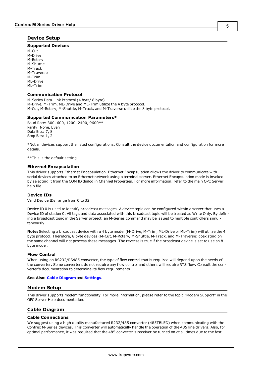#### <span id="page-4-0"></span>**Device Setup**

#### **Supported Devices**

M-Cut M-Drive M-Rotary M-Shuttle M-Track M-Traverse M-Trim ML-Drive ML-Trim

#### **Communication Protocol**

M-Series Data-Link Protocol (4 byte/ 8 byte). M-Drive, M-Trim, ML-Drive and ML-Trim utilize the 4 byte protocol. M-Cut, M-Rotary, M-Shuttle, M-Track, and M-Traverse utilize the 8 byte protocol.

#### **Supported Communication Parameters\***

Baud Rate: 300, 600, 1200, 2400, 9600\*\* Parity: None, Even Data Bits: 7, 8 Stop Bits: 1, 2

\*Not all devices support the listed configurations. Consult the device documentation and configuration for more details.

\*\*This is the default setting.

#### <span id="page-4-4"></span>**Ethernet Encapsulation**

This driver supports Ethernet Encapsulation. Ethernet Encapsulation allows the driver to communicate with serial devices attached to an Ethernet network using a terminal server. Ethernet Encapsulation mode is invoked by selecting it from the COM ID dialog in Channel Properties. For more information, refer to the main OPC Server help file.

#### <span id="page-4-3"></span>**Device IDs**

Valid Device IDs range from 0 to 32.

Device ID 0 is used to identify broadcast messages. A device topic can be configured within a server that uses a Device ID of station 0. All tags and data associated with this broadcast topic will be treated as Write Only. By defining a broadcast topic in the Server project, an M-Series command may be issued to multiple controllers simultaneously.

**Note:** Selecting a broadcast device with a 4 byte model (M-Drive, M-Trim, ML-Drive or ML-Trim) will utilize the 4 byte protocol. Therefore, 8 byte devices (M-Cut, M-Rotary, M-Shuttle, M-Track, and M-Traverse) coexisting on the same channel will not process these messages. The reverse is true if the broadcast device is set to use an 8 byte model.

#### **Flow Control**

When using an RS232/RS485 converter, the type of flow control that is required will depend upon the needs of the converter. Some converters do not require any flow control and others will require RTS flow. Consult the converter's documentation to determine its flow requirements.

#### <span id="page-4-1"></span>**See Also: [Cable](#page-4-2) [Diagram](#page-4-2)** and **[Settings](#page-5-0)**.

#### **Modem Setup**

This driver supports modem functionality. For more information, please refer to the topic "Modem Support" in the OPC Server Help documentation.

#### <span id="page-4-2"></span>**Cable Diagram**

#### **Cable Connections**

We suggest using a high quality manufactured R232/485 converter (485TBLED) when communicating with the Contrex M-Series devices. This converter will automatically handle the operation of the 485 line drivers. Also, for optimal performance, it was required that the 485 converter's receiver be turned on at all times due to the fast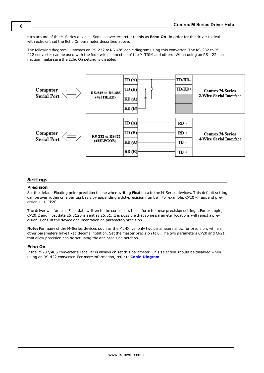turn around of the M-Series devices. Some converters refer to this as **Echo On**. In order for the driver to deal with echo on, set the Echo On parameter described above.

The following diagram illustrates an RS-232 to RS-485 cable diagram using this converter. The RS-232 to RS-422 converter can be used with the four-wire connection of the M-TRIM and others. When using an RS-422 connection, make sure the Echo On setting is disabled.



### <span id="page-5-0"></span>**Settings**

#### **Precision**

Set the default Floating point precision to use when writing Float data to the M-Series devices. This default setting can be overridden on a per tag basis by appending a dot-precision number. For example, CP20 -> append precision 1 -> CP20.1.

The driver will force all Float data written to the controllers to conform to these precision settings. For example, CP20.2 and Float data 25.5125 is sent as 25.51. It is possible that some parameter locations will reject a precision. Consult the device documentation on parameter/precision.

**Note:** For many of the M-Series devices such as the ML-Drive, only two parameters allow for precision, while all other parameters have fixed decimal notation. Set the master precision to 0. The two parameters CP20 and CP21 that allow precision can be set using the dot-precision notation.

#### **Echo On**

If the RS232/485 converter's receiver is always on set this parameter. This selection should be disabled when using an RS-422 converter. For more information, refer to **[Cable](#page-4-2) [Diagram](#page-4-2)**.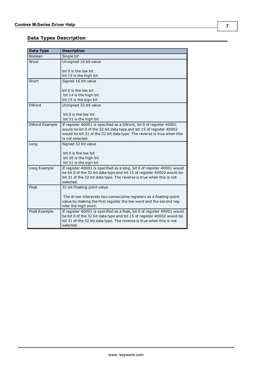# <span id="page-6-0"></span>**Data Types Description**

<span id="page-6-4"></span><span id="page-6-3"></span><span id="page-6-2"></span><span id="page-6-1"></span>

| Data Type     | <b>Description</b>                                                                                                                                                                                                                      |
|---------------|-----------------------------------------------------------------------------------------------------------------------------------------------------------------------------------------------------------------------------------------|
| Boolean       | Single bit                                                                                                                                                                                                                              |
| Word          | Unsigned 16 bit value                                                                                                                                                                                                                   |
|               | bit 0 is the low bit                                                                                                                                                                                                                    |
|               | bit 15 is the high bit                                                                                                                                                                                                                  |
| Short         | Signed 16 bit value                                                                                                                                                                                                                     |
|               | bit 0 is the low bit                                                                                                                                                                                                                    |
|               | bit 14 is the high bit                                                                                                                                                                                                                  |
|               | bit 15 is the sign bit                                                                                                                                                                                                                  |
| <b>DWord</b>  | Unsigned 32 bit value                                                                                                                                                                                                                   |
|               | bit 0 is the low bit                                                                                                                                                                                                                    |
|               | bit 31 is the high bit                                                                                                                                                                                                                  |
| DWord Example | If register 40001 is specified as a DWord, bit 0 of register 40001<br>would be bit 0 of the 32 bit data type and bit 15 of register 40002                                                                                               |
|               | would be bit 31 of the 32 bit data type. The reverse is true when this<br>is not selected.                                                                                                                                              |
| Long          | Signed 32 bit value                                                                                                                                                                                                                     |
|               | bit 0 is the low bit                                                                                                                                                                                                                    |
|               | bit 30 is the high bit                                                                                                                                                                                                                  |
|               | bit 31 is the sign bit                                                                                                                                                                                                                  |
| Long Example  | If register 40001 is specified as a long, bit 0 of register 40001 would<br>be bit 0 of the 32 bit data type and bit 15 of register 40002 would be<br>bit 31 of the 32 bit data type. The reverse is true when this is not<br>selected.  |
| Float         | 32 bit Floating point value                                                                                                                                                                                                             |
|               | The driver interprets two consecutive registers as a floating-point<br>value by making the first register the low word and the second reg-<br>ister the high word.                                                                      |
| Float Example | If register 40001 is specified as a float, bit 0 of register 40001 would<br>be bit 0 of the 32 bit data type and bit 15 of register 40002 would be<br>bit 31 of the 32 bit data type. The reverse is true when this is not<br>selected. |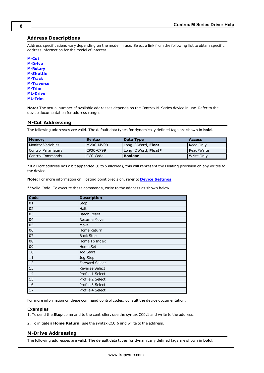# <span id="page-7-0"></span>**Address Descriptions**

Address specifications vary depending on the model in use. Select a link from the following list to obtain specific address information for the model of interest.

**[M-Cut](#page-7-1) [M-Drive](#page-7-2) [M-Rotary](#page-8-0) [M-Shuttle](#page-9-0) [M-Track](#page-9-1) [M-Traverse](#page-10-0) [M-Trim](#page-10-1) [ML-Drive](#page-11-0) [ML-Trim](#page-11-1)**

**Note:** The actual number of available addresses depends on the Contrex M-Series device in use. Refer to the device documentation for address ranges.

## <span id="page-7-1"></span>**M-Cut Addressing**

The following addresses are valid. The default data types for dynamically defined tags are shown in **bold**.

| <b>Memory</b>       | <b>Syntax</b> | Data Type           | <b>Access</b> |
|---------------------|---------------|---------------------|---------------|
| l Monitor Variables | MV00-MV99     | Long, DWord, Float  | Read Only     |
| Control Parameters  | CP00-CP99     | Long, DWord, Float* | Read/Write    |
| l Control Commands  | CCO.Code      | <b>Boolean</b>      | Write Only    |

\*If a Float address has a bit appended (0 to 5 allowed), this will represent the Floating precision on any writes to the device.

**Note:** For more information on Floating point precision, refer to **[Device](#page-5-0) [Settings](#page-5-0)**.

\*\*Valid Code: To execute these commands, write to the address as shown below.

| Code | <b>Description</b>    |
|------|-----------------------|
| 01   | <b>Stop</b>           |
| 02   | Halt                  |
| 03   | <b>Batch Reset</b>    |
| 04   | <b>Resume Move</b>    |
| 05   | Move                  |
| 06   | Home Return           |
| 07   | <b>Back Step</b>      |
| 08   | Home To Index         |
| 09   | Home Set              |
| 10   | Jog Start             |
| 11   | Jog Stop              |
| 12   | <b>Forward Select</b> |
| 13   | Reverse Select        |
| 14   | Profile 1 Select      |
| 15   | Profile 2 Select      |
| 16   | Profile 3 Select      |
| 17   | Profile 4 Select      |

For more information on these command control codes, consult the device documentation.

#### **Examples**

1. To send the **Stop** command to the controller, use the syntax CC0.1 and write to the address.

<span id="page-7-2"></span>2. To initiate a **Home Return**, use the syntax CC0.6 and write to the address.

#### **M-Drive Addressing**

The following addresses are valid. The default data types for dynamically defined tags are shown in **bold**.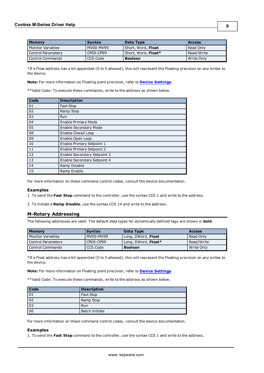| <b>Memory</b>            | <b>Syntax</b> | Data Type           | <b>Access</b> |
|--------------------------|---------------|---------------------|---------------|
| <b>Monitor Variables</b> | MV00-MV99     | Short, Word, Float  | Read Only     |
| Control Parameters       | CP00-CP99     | Short, Word, Float* | Read/Write    |
| Control Commands         | CCO.Code      | <b>Boolean</b>      | l Write Only  |

\*If a Float address has a bit appended (0 to 5 allowed), this will represent the Floating precision on any writes to the device.

**Note:** For more information on Floating point precision, refer to **[Device](#page-5-0) [Settings](#page-5-0)**.

\*\*Valid Code: To execute these commands, write to the address as shown below.

| Code | <b>Description</b>                 |
|------|------------------------------------|
| 01   | Fast Stop                          |
| 02   | Ramp Stop                          |
| 03   | <b>Run</b>                         |
| 04   | <b>Enable Primary Mode</b>         |
| 05   | <b>Enable Secondary Mode</b>       |
| 08   | <b>Enable Closed Loop</b>          |
| 09   | Enable Open Loop                   |
| 10   | <b>Enable Primary Setpoint 1</b>   |
| 11   | <b>Enable Primary Setpoint 2</b>   |
| 12   | Enable Secondary Setpoint 3        |
| 13   | <b>Enable Secondary Setpoint 4</b> |
| 14   | Ramp Disable                       |
| 15   | Ramp Enable                        |

For more information on these command control codes, consult the device documentation.

#### **Examples**

1. To send the **Fast Stop** command to the controller, use the syntax CC0.1 and write to the address.

<span id="page-8-0"></span>2. To initiate a **Ramp Disable**, use the syntax CC0.14 and write to the address.

#### **M-Rotary Addressing**

The following addresses are valid. The default data types for dynamically defined tags are shown in **bold**.

| <b>Memory</b>       | <b>Syntax</b> | Data Type           | <b>Access</b> |
|---------------------|---------------|---------------------|---------------|
| l Monitor Variables | MV00-MV99     | Long, DWord, Float  | Read Only     |
| Control Parameters  | CP00-CP99     | Long, DWord, Float* | Read/Write    |
| l Control Commands  | CCO.Code      | <b>Boolean</b>      | Write Only    |

\*If a Float address has a bit appended (0 to 5 allowed), this will represent the Floating precision on any writes to the device.

**Note:** For more information on Floating point precision, refer to **[Device](#page-5-0) [Settings](#page-5-0)**.

\*\*Valid Code: To execute these commands, write to the address as shown below.

| <b>Code</b>     | <b>Description</b>    |
|-----------------|-----------------------|
| 01              | <b>Fast Stop</b>      |
| 02              | Ramp Stop             |
| $\sqrt{03}$     | Run                   |
| $\overline{06}$ | <b>Batch Initiate</b> |

For more information on these command control codes, consult the device documentation.

#### **Examples**

1. To send the **Fast Stop** command to the controller, use the syntax CC0.1 and write to the address.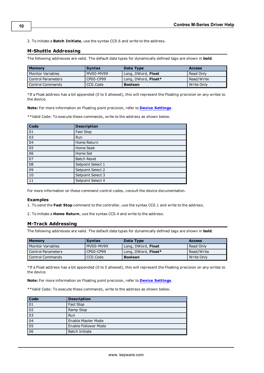<span id="page-9-0"></span>2. To initiate a **Batch Initiate**, use the syntax CC0.6 and write to the address.

### **M-Shuttle Addressing**

The following addresses are valid. The default data types for dynamically defined tags are shown in **bold**.

| <b>Memory</b>      | <b>Syntax</b> | Data Type           | <b>Access</b> |
|--------------------|---------------|---------------------|---------------|
| Monitor Variables  | MV00-MV99     | Long, DWord, Float  | l Read Only   |
| Control Parameters | CP00-CP99     | Long, DWord, Float* | Read/Write    |
| Control Commands   | CCO.Code      | <b>Boolean</b>      | l Write Only  |

\*If a Float address has a bit appended (0 to 5 allowed), this will represent the Floating precision on any writes to the device.

**Note:** For more information on Floating point precision, refer to **[Device](#page-5-0) [Settings](#page-5-0)**.

\*\*Valid Code: To execute these commands, write to the address as shown below.

| Code | <b>Description</b> |
|------|--------------------|
| 01   | Fast Stop          |
| 03   | Run                |
| 04   | Home Return        |
| 05   | Home Seek          |
| 06   | Home Set           |
| 07   | <b>Batch Reset</b> |
| 08   | Setpoint Select 1  |
| 09   | Setpoint Select 2  |
| 10   | Setpoint Select 3  |
| 11   | Setpoint Select 4  |

For more information on these command control codes, consult the device documentation.

#### **Examples**

1. To send the **Fast Stop** command to the controller, use the syntax CC0.1 and write to the address.

<span id="page-9-1"></span>2. To initiate a **Home Return**, use the syntax CC0.4 and write to the address.

# **M-Track Addressing**

The following addresses are valid. The default data types for dynamically defined tags are shown in **bold**.

| <b>Memory</b>        | <b>Syntax</b> | Data Type           | <b>Access</b> |
|----------------------|---------------|---------------------|---------------|
| l Monitor Variables  | MV00-MV99     | Long, DWord, Float  | l Read Only   |
| l Control Parameters | CP00-CP99     | Long, DWord, Float* | Read/Write    |
| l Control Commands   | CCO.Code      | <b>Boolean</b>      | l Write Only  |

\*If a Float address has a bit appended (0 to 5 allowed), this will represent the Floating precision on any writes to the device.

**Note:** For more information on Floating point precision, refer to **[Device](#page-5-0) [Settings](#page-5-0)**.

\*\*Valid Code: To execute these commands, write to the address as shown below.

| <b>Code</b>                        | <b>Description</b>          |
|------------------------------------|-----------------------------|
| 01                                 | Fast Stop                   |
| $\overline{02}$                    | Ramp Stop                   |
| $\boxed{03}$                       | Run                         |
| $\overline{04}$                    | <b>Enable Master Mode</b>   |
| $\overline{\overline{\smash{05}}}$ | <b>Enable Follower Mode</b> |
| $\overline{06}$                    | <b>Batch Initiate</b>       |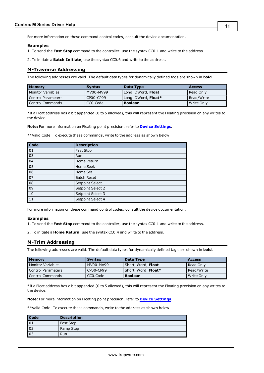#### **Examples**

1. To send the **Fast Stop** command to the controller, use the syntax CC0.1 and write to the address.

<span id="page-10-0"></span>2. To initiate a **Batch Initiate**, use the syntax CC0.6 and write to the address.

#### **M-Traverse Addressing**

The following addresses are valid. The default data types for dynamically defined tags are shown in **bold**.

| <b>Memory</b>      | <b>Syntax</b> | Data Type           | <b>Access</b> |
|--------------------|---------------|---------------------|---------------|
| Monitor Variables  | MV00-MV99     | Long, DWord, Float  | Read Only     |
| Control Parameters | CP00-CP99     | Long, DWord, Float* | Read/Write    |
| Control Commands   | CCO.Code      | <b>Boolean</b>      | Write Only    |

\*If a Float address has a bit appended (0 to 5 allowed), this will represent the Floating precision on any writes to the device.

**Note:** For more information on Floating point precision, refer to **[Device](#page-5-0) [Settings](#page-5-0)**.

\*\*Valid Code: To execute these commands, write to the address as shown below.

| Code | <b>Description</b> |
|------|--------------------|
| 01   | Fast Stop          |
| 03   | Run                |
| 04   | Home Return        |
| 05   | Home Seek          |
| 06   | Home Set           |
| 07   | <b>Batch Reset</b> |
| 08   | Setpoint Select 1  |
| 09   | Setpoint Select 2  |
| 10   | Setpoint Select 3  |
| 11   | Setpoint Select 4  |

For more information on these command control codes, consult the device documentation.

#### **Examples**

1. To send the **Fast Stop** command to the controller, use the syntax CC0.1 and write to the address.

<span id="page-10-1"></span>2. To initiate a **Home Return**, use the syntax CC0.4 and write to the address.

#### **M-Trim Addressing**

The following addresses are valid. The default data types for dynamically defined tags are shown in **bold**.

| <b>Memory</b>      | <b>Syntax</b> | Data Type           | <b>Access</b> |
|--------------------|---------------|---------------------|---------------|
| Monitor Variables  | MV00-MV99     | Short, Word, Float  | l Read Only   |
| Control Parameters | CP00-CP99     | Short, Word, Float* | Read/Write    |
| Control Commands   | CCO.Code      | <b>Boolean</b>      | l Write Only  |

\*If a Float address has a bit appended (0 to 5 allowed), this will represent the Floating precision on any writes to the device.

**Note:** For more information on Floating point precision, refer to **[Device](#page-5-0) [Settings](#page-5-0)**.

\*\*Valid Code: To execute these commands, write to the address as shown below.

| Code            | <b>Description</b> |
|-----------------|--------------------|
| $\boxed{01}$    | Fast Stop          |
| 02              | Ramp Stop          |
| $\overline{03}$ | Run                |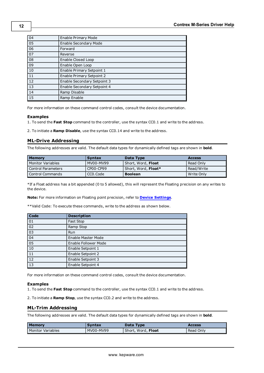| $\boxed{04}$    | <b>Enable Primary Mode</b>         |
|-----------------|------------------------------------|
| $\overline{05}$ | <b>Enable Secondary Mode</b>       |
| 06              | Forward                            |
| $\overline{07}$ | Reverse                            |
| $\overline{08}$ | Enable Closed Loop                 |
| $\overline{09}$ | Enable Open Loop                   |
| $\boxed{10}$    | Enable Primary Setpoint 1          |
| $\overline{11}$ | <b>Enable Primary Setpoint 2</b>   |
| $\overline{12}$ | <b>Enable Secondary Setpoint 3</b> |
| $\overline{13}$ | Enable Secondary Setpoint 4        |
| $\boxed{14}$    | Ramp Disable                       |
| $\overline{15}$ | Ramp Enable                        |

For more information on these command control codes, consult the device documentation.

#### **Examples**

1. To send the **Fast Stop** command to the controller, use the syntax CC0.1 and write to the address.

<span id="page-11-0"></span>2. To initiate a **Ramp Disable**, use the syntax CC0.14 and write to the address.

### **ML-Drive Addressing**

The following addresses are valid. The default data types for dynamically defined tags are shown in **bold**.

| <b>Memory</b>      | <b>Syntax</b> | Data Type           | <b>Access</b> |
|--------------------|---------------|---------------------|---------------|
| Monitor Variables  | MV00-MV99     | Short, Word, Float  | Read Only     |
| Control Parameters | CP00-CP99     | Short, Word, Float* | Read/Write    |
| Control Commands   | CCO.Code      | <b>Boolean</b>      | Write Only    |

\*If a Float address has a bit appended (0 to 5 allowed), this will represent the Floating precision on any writes to the device.

**Note:** For more information on Floating point precision, refer to **[Device](#page-5-0) [Settings](#page-5-0)**.

\*\*Valid Code: To execute these commands, write to the address as shown below.

| Code            | <b>Description</b>        |
|-----------------|---------------------------|
| 01              | Fast Stop                 |
| 02              | Ramp Stop                 |
| $ 03\rangle$    | <b>Run</b>                |
| 04              | <b>Enable Master Mode</b> |
| 05              | Enable Follower Mode      |
| 10              | Enable Setpoint 1         |
| 11              | Enable Setpoint 2         |
| $\overline{12}$ | Enable Setpoint 3         |
| 13              | Enable Setpoint 4         |

For more information on these command control codes, consult the device documentation.

#### **Examples**

1. To send the **Fast Stop** command to the controller, use the syntax CC0.1 and write to the address.

<span id="page-11-1"></span>2. To initiate a **Ramp Stop**, use the syntax CC0.2 and write to the address.

#### **ML-Trim Addressing**

The following addresses are valid. The default data types for dynamically defined tags are shown in **bold**.

| <b>Memory</b>     | <b>Syntax</b> | Data Type          | <b>Access</b> |
|-------------------|---------------|--------------------|---------------|
| Monitor Variables | MV00-MV99     | Short, Word, Float | Read Only     |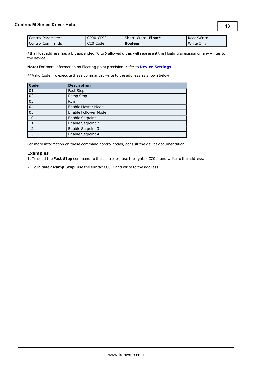| <b>Control Parameters</b> | CP00-CP99 | Short, Word, Float* | Read/Write |
|---------------------------|-----------|---------------------|------------|
| Control Commands          | CCO Code  | <b>Boolean</b>      | Write Only |

\*If a Float address has a bit appended (0 to 5 allowed), this will represent the Floating precision on any writes to the device.

**Note:** For more information on Floating point precision, refer to **[Device](#page-5-0) [Settings](#page-5-0)**.

\*\*Valid Code: To execute these commands, write to the address as shown below.

| Code            | <b>Description</b>          |
|-----------------|-----------------------------|
| 01              | Fast Stop                   |
| 02              | Ramp Stop                   |
| $\overline{03}$ | Run                         |
| 04              | <b>Enable Master Mode</b>   |
| 05              | <b>Enable Follower Mode</b> |
| $\overline{10}$ | Enable Setpoint 1           |
| $\overline{11}$ | Enable Setpoint 2           |
| 12              | Enable Setpoint 3           |
| $\overline{13}$ | Enable Setpoint 4           |

For more information on these command control codes, consult the device documentation.

#### **Examples**

1. To send the **Fast Stop** command to the controller, use the syntax CC0.1 and write to the address.

2. To initiate a **Ramp Stop**, use the suntax CC0.2 and write to the address.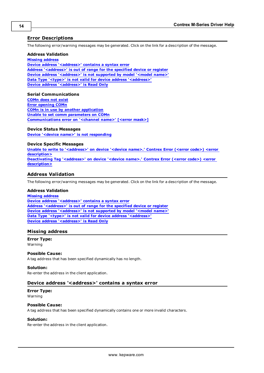## <span id="page-13-0"></span>**Error Descriptions**

The following error/warning messages may be generated. Click on the link for a description of the message.

#### **Address Validation**

**[Missing](#page-13-2) [address](#page-13-2) [Device](#page-13-3) [address](#page-13-3) ['<address>'](#page-13-3) [contains](#page-13-3) [a](#page-13-3) [syntax](#page-13-3) [error](#page-13-3) [Address](#page-14-0) ['<address>'](#page-14-0) [is](#page-14-0) [out](#page-14-0) [of](#page-14-0) [range](#page-14-0) [for](#page-14-0) [the](#page-14-0) [specified](#page-14-0) [device](#page-14-0) [or](#page-14-0) [register](#page-14-0) [Device](#page-14-1) [address](#page-14-1) ['<address>'](#page-14-1)** [is](#page-14-1) [not](#page-14-1) [supported](#page-14-1) [by](#page-14-1) [model](#page-14-1) ['<model](#page-14-1) [name>'](#page-14-1) **[Data](#page-14-2) [Type](#page-14-2) ['<type>'](#page-14-2) [is](#page-14-2) [not](#page-14-2) [valid](#page-14-2) [for](#page-14-2) [device](#page-14-2) [address](#page-14-2) ['<address>'](#page-14-2) [Device](#page-14-3) [address](#page-14-3) ['<address>'](#page-14-3) [is](#page-14-3) [Read](#page-14-3) [Only](#page-14-3)**

#### **Serial Communications**

**[COMn](#page-14-5) [does](#page-14-5) [not](#page-14-5) [exist](#page-14-5) [Error](#page-15-0) [opening](#page-15-0) [COMn](#page-15-0) [COMn](#page-15-1) [is](#page-15-1) [in](#page-15-1) [use](#page-15-1) [by](#page-15-1) [another](#page-15-1) [application](#page-15-1) [Unable](#page-15-2) [to](#page-15-2) [set](#page-15-2) [comm](#page-15-2) [parameters](#page-15-2) [on](#page-15-2) [COMn](#page-15-2) [Communications](#page-15-3) [error](#page-15-3) [on](#page-15-3) ['<channel](#page-15-3) [name>'](#page-15-3) [\[<error](#page-15-3) [mask>\]](#page-15-3)**

#### **Device Status Messages**

**[Device](#page-16-0) ['<device](#page-16-0) [name>'](#page-16-0) [is](#page-16-0) [not](#page-16-0) [responding](#page-16-0)**

#### **Device Specific Messages**

**[Unable](#page-16-2) [to](#page-16-2) [write](#page-16-2) [to](#page-16-2) ['<address>'](#page-16-2) [on](#page-16-2) [device](#page-16-2) ['<device](#page-16-2) [name>.'](#page-16-2) [Contrex](#page-16-2) [Error](#page-16-2) [\(<error](#page-16-2) [code>\)](#page-16-2) [<error](#page-16-2) [description>](#page-16-2) [Deactivating](#page-16-3) [Tag](#page-16-3) ['<address>'](#page-16-3) [on](#page-16-3) [device](#page-16-3) ['<device](#page-16-3) [name>.'](#page-16-3) [Contrex](#page-16-3) [Error](#page-16-3) [\(<error](#page-16-3) [code>\)](#page-16-3) [<error](#page-16-3) [description>](#page-16-3)**

### <span id="page-13-1"></span>**Address Validation**

The following error/warning messages may be generated. Click on the link for a description of the message.

#### **Address Validation**

**[Missing](#page-13-2) [address](#page-13-2) [Device](#page-13-3) [address](#page-13-3) ['<address>'](#page-13-3) [contains](#page-13-3) [a](#page-13-3) [syntax](#page-13-3) [error](#page-13-3) [Address](#page-14-0) ['<address>'](#page-14-0) [is](#page-14-0) [out](#page-14-0) [of](#page-14-0) [range](#page-14-0) [for](#page-14-0) [the](#page-14-0) [specified](#page-14-0) [device](#page-14-0) [or](#page-14-0) [register](#page-14-0) [Device](#page-14-1) [address](#page-14-1) ['<address>'](#page-14-1) [is](#page-14-1) [not](#page-14-1) [supported](#page-14-1) [by](#page-14-1) [model](#page-14-1) ['<model](#page-14-1) [name>'](#page-14-1) [Data](#page-14-2) [Type](#page-14-2) ['<type>'](#page-14-2) [is](#page-14-2) [not](#page-14-2) [valid](#page-14-2) [for](#page-14-2) [device](#page-14-2) [address](#page-14-2) ['<address>'](#page-14-2) [Device](#page-14-3) [address](#page-14-3) ['<address>'](#page-14-3) [is](#page-14-3) [Read](#page-14-3) [Only](#page-14-3)** 

#### <span id="page-13-2"></span>**Missing address**

**Error Type:** Warning

#### **Possible Cause:**

A tag address that has been specified dynamically has no length.

#### **Solution:**

<span id="page-13-3"></span>Re-enter the address in the client application.

#### Device address '<address>' contains a syntax error

#### **Error Type:** Warning

#### **Possible Cause:**

A tag address that has been specified dynamically contains one or more invalid characters.

#### **Solution:**

Re-enter the address in the client application.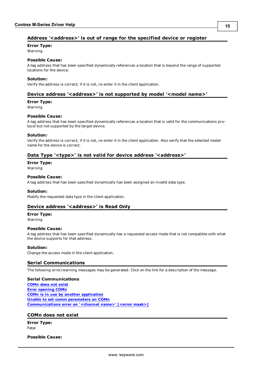# <span id="page-14-0"></span>Address '<address>' is out of range for the specified device or register

**Error Type:**

Warning

# **Possible Cause:**

A tag address that has been specified dynamically references a location that is beyond the range of supported locations for the device.

#### **Solution:**

<span id="page-14-1"></span>Verify the address is correct; if it is not, re-enter it in the client application.

### Device address '<address>' is not supported by model '<model name>'

#### **Error Type:**

Warning

#### **Possible Cause:**

A tag address that has been specified dynamically references a location that is valid for the communications protocol but not supported by the target device.

#### **Solution:**

Verify the address is correct; if it is not, re-enter it in the client application. Also verify that the selected model name for the device is correct.

### <span id="page-14-2"></span>Data Type '<type>' is not valid for device address '<address>'

**Error Type:**

Warning

#### **Possible Cause:**

A tag address that has been specified dynamically has been assigned an invalid data type.

#### **Solution:**

<span id="page-14-3"></span>Modify the requested data type in the client application.

### Device address '<address>' is Read Only

#### **Error Type:**

Warning

#### **Possible Cause:**

A tag address that has been specified dynamically has a requested access mode that is not compatible with what the device supports for that address.

#### **Solution:**

<span id="page-14-4"></span>Change the access mode in the client application.

### **Serial Communications**

The following error/warning messages may be generated. Click on the link for a description of the message.

#### **Serial Communications**

**[COMn](#page-14-5) [does](#page-14-5) [not](#page-14-5) [exist](#page-14-5) [Error](#page-15-0) [opening](#page-15-0) [COMn](#page-15-0) [COMn](#page-15-1) [is](#page-15-1) [in](#page-15-1) [use](#page-15-1) [by](#page-15-1) [another](#page-15-1) [application](#page-15-1) [Unable](#page-15-2) [to](#page-15-2) [set](#page-15-2) [comm](#page-15-2) [parameters](#page-15-2) [on](#page-15-2) [COMn](#page-15-2) [Communications](#page-15-3) [error](#page-15-3) [on](#page-15-3) ['<channel](#page-15-3) [name>'](#page-15-3) [\[<error](#page-15-3) [mask>\]](#page-15-3)**

#### <span id="page-14-5"></span>**COMn does not exist**

**Error Type:** Fatal

**Possible Cause:**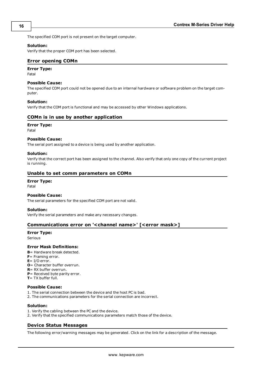The specified COM port is not present on the target computer.

#### **Solution:**

<span id="page-15-0"></span>Verify that the proper COM port has been selected.

#### **Error opening COMn**

### **Error Type:**

Fatal

#### **Possible Cause:**

The specified COM port could not be opened due to an internal hardware or software problem on the target computer.

#### **Solution:**

<span id="page-15-1"></span>Verify that the COM port is functional and may be accessed by other Windows applications.

#### **COMn is in use by another application**

#### **Error Type:**

Fatal

#### **Possible Cause:**

The serial port assigned to a device is being used by another application.

#### **Solution:**

Verify that the correct port has been assigned to the channel. Also verify that only one copy of the current project is running.

#### <span id="page-15-2"></span>**Unable to set comm parameters on COMn**

# **Error Type:**

Fatal

#### **Possible Cause:**

The serial parameters for the specified COM port are not valid.

#### **Solution:**

<span id="page-15-3"></span>Verify the serial parameters and make any necessary changes.

#### **Communications error on '<channel name>' [<error mask>]**

## **Error Type:**

Serious

#### **Error Mask Definitions:**

- <span id="page-15-5"></span>**B**= Hardware break detected.
- **F**= Framing error.
- <span id="page-15-6"></span>**E**= I/O error.
- **O**= Character buffer overrun.
- <span id="page-15-7"></span>**R**= RX buffer overrun.
- **P**= Received byte parity error.
- **T**= TX buffer full.

## **Possible Cause:**

- 1. The serial connection between the device and the host PC is bad.
- 2. The communications parameters for the serial connection are incorrect.

## **Solution:**

- 1. Verify the cabling between the PC and the device.
- <span id="page-15-4"></span>2. Verify that the specified communications parameters match those of the device.

# **Device Status Messages**

The following error/warning messages may be generated. Click on the link for a description of the message.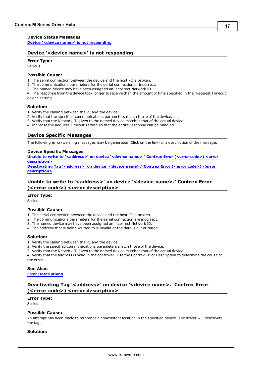#### **Device Status Messages**

<span id="page-16-0"></span>**[Device](#page-16-0) ['<device](#page-16-0) [name>'](#page-16-0) [is](#page-16-0) [not](#page-16-0) [responding](#page-16-0)**

#### **Device '<device name>' is not responding**

#### **Error Type:**

Serious

### **Possible Cause:**

1. The serial connection between the device and the host PC is broken.

- 2. The communications parameters for the serial connection or incorrect.
- 3. The named device may have been assigned an incorrect Network ID.

4. The response from the device took longer to receive than the amount of time specified in the "Request Timeout" device setting.

#### **Solution:**

- 1. Verify the cabling between the PC and the device.
- 2. Verify that the specified communications parameters match those of the device.
- 3. Verify that the Network ID given to the named device matches that of the actual device.
- <span id="page-16-1"></span>4. Increase the Request Timeout setting so that the entire response can be handled.

#### **Device Specific Messages**

The following error/warning messages may be generated. Click on the link for a description of the message.

#### **Device Specific Messages**

**[Unable](#page-16-2) [to](#page-16-2) [write](#page-16-2) [to](#page-16-2) ['<address>'](#page-16-2) [on](#page-16-2) [device](#page-16-2) ['<device](#page-16-2) [name>.'](#page-16-2) [Contrex](#page-16-2) [Error](#page-16-2) [\(<error](#page-16-2) [code>\)](#page-16-2) [<error](#page-16-2) [description>](#page-16-2) [Deactivating](#page-16-3) [Tag](#page-16-3) ['<address>'](#page-16-3) [on](#page-16-3) [device](#page-16-3) ['<device](#page-16-3) [name>.'](#page-16-3) [Contrex](#page-16-3) [Error](#page-16-3) [\(<error](#page-16-3) [code>\)](#page-16-3) [<error](#page-16-3)**

**[description>](#page-16-3)**

# <span id="page-16-2"></span>Unable to write to '<address>' on device '<device name>.' Contrex Error **(<error code>) <error description>**

#### **Error Type:**

Serious

#### **Possible Cause:**

- 1. The serial connection between the device and the host PC is broken.
- 2. The communications parameters for the serial connection are incorrect.
- 3. The named device may have been assigned an incorrect Network ID.
- 4. The address that is being written to is invalid or the data is out of range.

#### **Solution:**

- 1. Verify the cabling between the PC and the device.
- 2. Verify the specified communications parameters match those of the device.
- 3. Verify that the Network ID given to the named device matches that of the actual device.

4. Verify that the address is valid in the controller. Use the Contrex Error Description to determine the cause of the error.

#### **See Also:**

<span id="page-16-3"></span>**[Error](#page-13-0) [Descriptions](#page-13-0)**

# **Deactivating Tag '<address>' on device '<device name>.' Contrex Error (<error code>) <error description>**

#### **Error Type:**

Serious

#### **Possible Cause:**

An attempt has been made to reference a nonexistent location in the specified device. The driver will deactivate the tag.

#### **Solution:**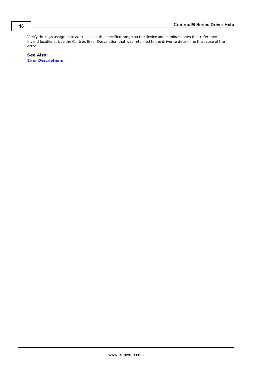Verify the tags assigned to addresses in the specified range on the device and eliminate ones that reference invalid locations. Use the Contrex Error Description that was returned to the driver to determine the cause of the error.

**See Also: [Error](#page-13-0) [Descriptions](#page-13-0)**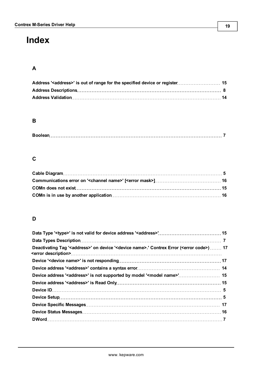# <span id="page-18-0"></span>**Index**

# **A**

# **B**

# **C**

# **D**

| Deactivating Tag ' <address>' on device '<device name="">.' Contrex Error (<error code="">) 17</error></device></address> |  |
|---------------------------------------------------------------------------------------------------------------------------|--|
|                                                                                                                           |  |
|                                                                                                                           |  |
| Device address ' <address>' is not supported by model '<model name="">' 15</model></address>                              |  |
|                                                                                                                           |  |
|                                                                                                                           |  |
|                                                                                                                           |  |
|                                                                                                                           |  |
|                                                                                                                           |  |
|                                                                                                                           |  |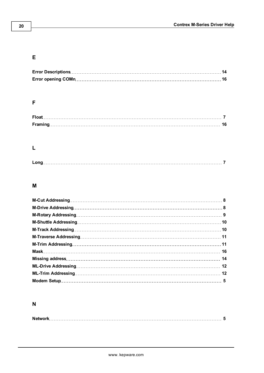# **E**

# **F**

# **L**

# **M**

# **N**

|--|--|